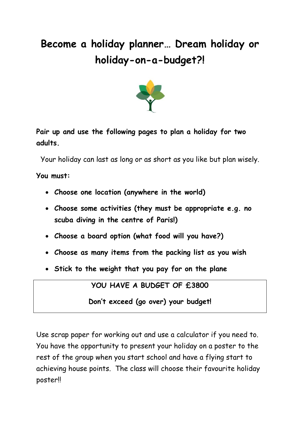# **Become a holiday planner… Dream holiday or holiday-on-a-budget?!**



**Pair up and use the following pages to plan a holiday for two adults.**

Your holiday can last as long or as short as you like but plan wisely.

**You must:**

- **Choose one location (anywhere in the world)**
- **Choose some activities (they must be appropriate e.g. no scuba diving in the centre of Paris!)**
- **Choose a board option (what food will you have?)**
- **Choose as many items from the packing list as you wish**
- **Stick to the weight that you pay for on the plane**

**YOU HAVE A BUDGET OF £3800**

**Don't exceed (go over) your budget!**

Use scrap paper for working out and use a calculator if you need to. You have the opportunity to present your holiday on a poster to the rest of the group when you start school and have a flying start to achieving house points. The class will choose their favourite holiday poster!!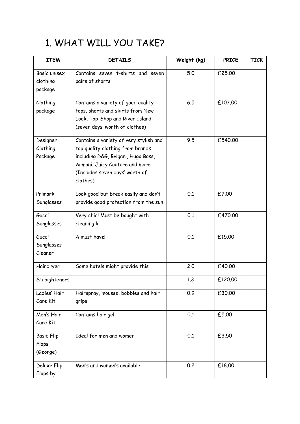#### 1. WHAT WILL YOU TAKE?

| <b>ITEM</b>       | <b>DETAILS</b>                         | Weight (kg) | <b>PRICE</b> | <b>TICK</b> |
|-------------------|----------------------------------------|-------------|--------------|-------------|
| Basic unisex      | Contains seven t-shirts and seven      | 5.0         | £25.00       |             |
| clothing          | pairs of shorts                        |             |              |             |
| package           |                                        |             |              |             |
| Clothing          | Contains a variety of good quality     | 6.5         | £107.00      |             |
| package           | tops, shorts and skirts from New       |             |              |             |
|                   | Look, Top-Shop and River Island        |             |              |             |
|                   | (seven days' worth of clothes)         |             |              |             |
| Designer          | Contains a variety of very stylish and | 9.5         | £540.00      |             |
| Clothing          | top quality clothing from brands       |             |              |             |
| Package           | including D&G, Bvlgari, Hugo Boss,     |             |              |             |
|                   | Armani, Juicy Couture and more!        |             |              |             |
|                   | (Includes seven days' worth of         |             |              |             |
|                   | clothes)                               |             |              |             |
| Primark           | Look good but break easily and don't   | 0.1         | £7.00        |             |
| Sunglasses        | provide good protection from the sun   |             |              |             |
| Gucci             | Very chic! Must be bought with         | 0.1         | £470.00      |             |
| Sunglasses        | cleaning kit                           |             |              |             |
| Gucci             | A must have!                           | 0.1         | £15.00       |             |
| Sunglasses        |                                        |             |              |             |
| Cleaner           |                                        |             |              |             |
| Hairdryer         | Some hotels might provide this         | 2.0         | £40.00       |             |
| Straighteners     |                                        | 1.3         | £120.00      |             |
| Ladies' Hair      | Hairspray, mousse, bobbles and hair    | 0.9         | £30.00       |             |
| Care Kit          | grips                                  |             |              |             |
| Men's Hair        | Contains hair gel                      | 0.1         | £5.00        |             |
| Care Kit          |                                        |             |              |             |
| <b>Basic Flip</b> | Ideal for men and women                | 0.1         | £3.50        |             |
| Flops             |                                        |             |              |             |
| (George)          |                                        |             |              |             |
| Deluxe Flip       | Men's and women's available            | 0.2         | £18.00       |             |
| Flops by          |                                        |             |              |             |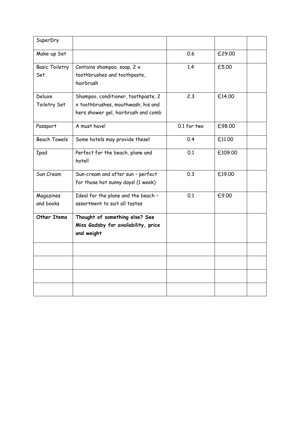| SuperDry              |                                     |             |         |  |
|-----------------------|-------------------------------------|-------------|---------|--|
| Make-up Set           |                                     | 0.6         | £29.00  |  |
| <b>Basic Toiletry</b> | Contains shampoo, soap, 2 x         | 1.4         | £5.00   |  |
| Set                   | toothbrushes and toothpaste,        |             |         |  |
|                       | hairbrush                           |             |         |  |
| Deluxe                | Shampoo, conditioner, toothpaste, 2 | 2.3         | £14.00  |  |
| Toiletry Set          | x toothbrushes, mouthwash, his and  |             |         |  |
|                       | hers shower gel, hairbrush and comb |             |         |  |
| Passport              | A must have!                        | 0.1 for two | £98.00  |  |
| <b>Beach Towels</b>   | Some hotels may provide these!      | 0.4         | £11.00  |  |
| Ipad                  | Perfect for the beach, plane and    | 0.1         | £109.00 |  |
|                       | hotel!                              |             |         |  |
| Sun Cream             | Sun-cream and after sun - perfect   | 0.3         | £19.00  |  |
|                       | for those hot sunny days! (1 week)  |             |         |  |
| Magazines             | Ideal for the plane and the beach - | 0.1         | £9.00   |  |
| and books             | assortment to suit all tastes       |             |         |  |
| Other Items           | Thought of something else? See      |             |         |  |
|                       | Miss Gadsby for availability, price |             |         |  |
|                       | and weight                          |             |         |  |
|                       |                                     |             |         |  |
|                       |                                     |             |         |  |
|                       |                                     |             |         |  |
|                       |                                     |             |         |  |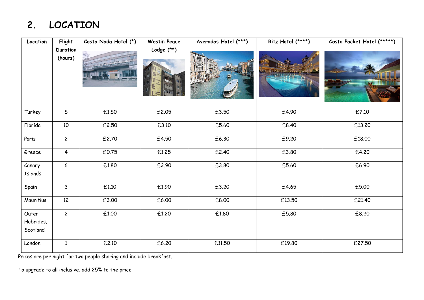### **2. LOCATION**

| Location                       | Flight                     | Costa Nada Hotel (*) | <b>Westin Peace</b> | Averados Hotel (***) | Ritz Hotel (****) | Costa Packet Hotel (*****) |
|--------------------------------|----------------------------|----------------------|---------------------|----------------------|-------------------|----------------------------|
|                                | <b>Duration</b><br>(hours) |                      | Lodge (**)          |                      |                   |                            |
| Turkey                         | 5                          | £1.50                | £2.05               | £3.50                | £4.90             | £7.10                      |
| Florida                        | 10                         | £2.50                | £3.10               | £5.60                | £8.40             | £13.20                     |
| Paris                          | $\overline{c}$             | £2.70                | £4.50               | £6.30                | £9.20             | £18.00                     |
| Greece                         | $\overline{4}$             | £0.75                | £1.25               | £2.40                | £3.80             | £4.20                      |
| Canary<br>Islands              | 6                          | £1.80                | £2.90               | £3.80                | £5.60             | £6.90                      |
| Spain                          | $\overline{3}$             | £1.10                | £1.90               | £3.20                | £4.65             | £5.00                      |
| Mauritius                      | 12                         | £3.00                | £6.00               | £8.00                | £13.50            | £21.40                     |
| Outer<br>Hebrides,<br>Scotland | $\overline{c}$             | £1.00                | £1.20               | £1.80                | £5.80             | £8.20                      |
| London                         | $\mathbf{1}$               | £2.10                | £6.20               | £11.50               | £19.80            | £27.50                     |

Prices are per night for two people sharing and include breakfast.

To upgrade to all inclusive, add 25% to the price.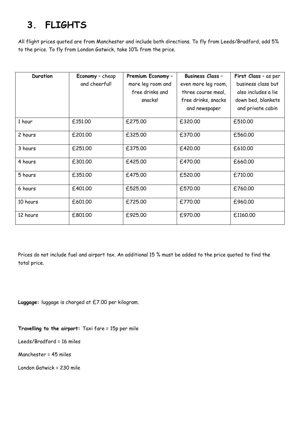## **3. FLIGHTS**

All flight prices quoted are from Manchester and include both directions. To fly from Leeds/Bradford, add 5% to the price. To fly from London Gatwick, take 10% from the price.

| <b>Duration</b> | <b>Economy</b> - cheap | Premium Economy - | <b>Business Class -</b> | First Class - as per |
|-----------------|------------------------|-------------------|-------------------------|----------------------|
|                 | and cheerful!          | more leg room and | even more leg room,     | business class but   |
|                 |                        | free drinks and   | three course meal,      | also includes a lie  |
|                 |                        | snacks!           | free drinks, snacks     | down bed, blankets   |
|                 |                        |                   | and newspaper           | and private cabin    |
| 1 hour          | £151.00                | £275.00           | £320.00                 | £510.00              |
| 2 hours         | £201.00                | £325.00           | £370.00                 | £560.00              |
| 3 hours         | £251,00                | £375.00           | £420.00                 | £610.00              |
| 4 hours         | £301.00                | £425.00           | £470.00                 | £660.00              |
| 5 hours         | £351.00                | £475.00           | £520,00                 | £710.00              |
| 6 hours         | £401.00                | £525.00           | £570.00                 | £760.00              |
| 10 hours        | £601.00                | £725.00           | £770.00                 | £960.00              |
| 12 hours        | £801,00                | £925.00           | £970.00                 | £1160.00             |

Prices do not include fuel and airport tax. An additional 15 % must be added to the price quoted to find the total price.

**Luggage:** luggage is charged at £7.00 per kilogram.

**Travelling to the airport:** Taxi fare = 15p per mile

Leeds/Bradford = 16 miles

Manchester = 45 miles

London Gatwick = 230 mile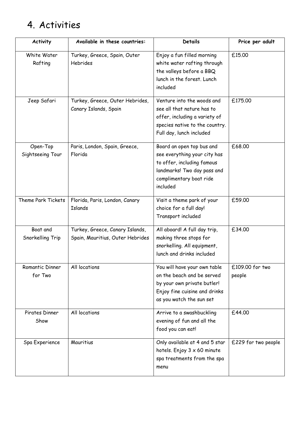#### 4. Activities

| <b>Activity</b>              | Available in these countries:                                       | <b>Details</b>                                                                                                                                                | Price per adult           |
|------------------------------|---------------------------------------------------------------------|---------------------------------------------------------------------------------------------------------------------------------------------------------------|---------------------------|
| White Water<br>Rafting       | Turkey, Greece, Spain, Outer<br>Hebrides                            | Enjoy a fun filled morning<br>white water rafting through<br>the valleys before a BBQ<br>lunch in the forest. Lunch<br>included                               | £15.00                    |
| Jeep Safari                  | Turkey, Greece, Outer Hebrides,<br>Canary Islands, Spain            | Venture into the woods and<br>see all that nature has to<br>offer, including a variety of<br>species native to the country.<br>Full day, lunch included       | £175.00                   |
| Open-Top<br>Sightseeing Tour | Paris, London, Spain, Greece,<br>Florida                            | Board an open top bus and<br>see everything your city has<br>to offer, including famous<br>landmarks! Two day pass and<br>complimentary boat ride<br>included | £68.00                    |
| Theme Park Tickets           | Florida, Paris, London, Canary<br><b>Islands</b>                    | Visit a theme park of your<br>choice for a full day!<br>Transport included                                                                                    | £59.00                    |
| Boat and<br>Snorkelling Trip | Turkey, Greece, Canary Islands,<br>Spain, Mauritius, Outer Hebrides | All aboard! A full day trip,<br>making three stops for<br>snorkelling. All equipment,<br>lunch and drinks included                                            | £34.00                    |
| Romantic Dinner<br>for Two   | All locations                                                       | You will have your own table<br>on the beach and be served<br>by your own private butler!<br>Enjoy fine cuisine and drinks<br>as you watch the sun set        | £109.00 for two<br>people |
| Pirates Dinner<br>Show       | All locations                                                       | Arrive to a swashbuckling<br>evening of fun and all the<br>food you can eat!                                                                                  | £44.00                    |
| Spa Experience               | Mauritius                                                           | Only available at 4 and 5 star<br>hotels. Enjoy 3 x 60 minute<br>spa treatments from the spa<br>menu                                                          | £229 for two people       |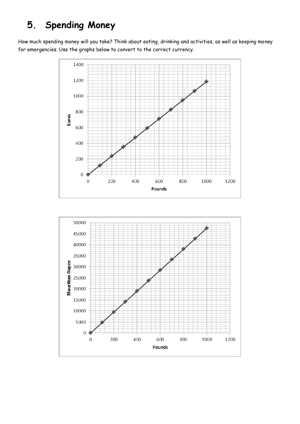### **5. Spending Money**

How much spending money will you take? Think about eating, drinking and activities, as well as keeping money for emergencies. Use the graphs below to convert to the correct currency.



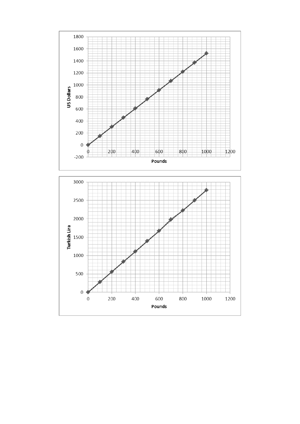